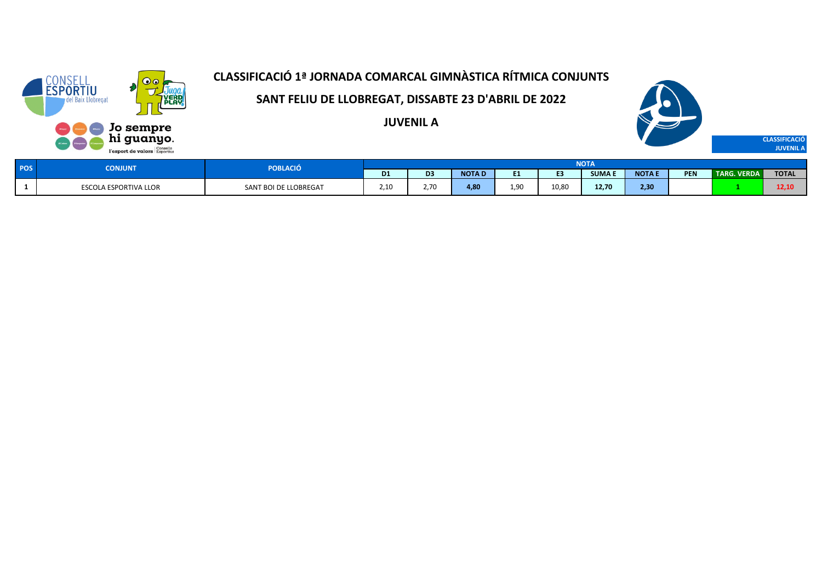

**SANT FELIU DE LLOBREGAT, DISSABTE 23 D'ABRIL DE 2022**

**JUVENIL A**



| <b>POS</b> | CONJUNT                 | POBLACIÓ              |                |                |              |      |       | <b>NOTA</b> |             |     |                       |              |
|------------|-------------------------|-----------------------|----------------|----------------|--------------|------|-------|-------------|-------------|-----|-----------------------|--------------|
|            |                         |                       | D <sub>1</sub> | D <sub>3</sub> | <b>NOTAD</b> |      |       | <b>SUMA</b> | <b>NOTA</b> | PEN | TARG.<br><b>VERDA</b> | <b>TOTAL</b> |
|            | ESCOL<br>ESPORTIVA LLOR | SANT BOI DE LLOBREGAT | 2.10<br>.      | 2.70           | 4.80         | 9۲.ء | 10,80 | 12.70       | 2,30        |     |                       | 12,10        |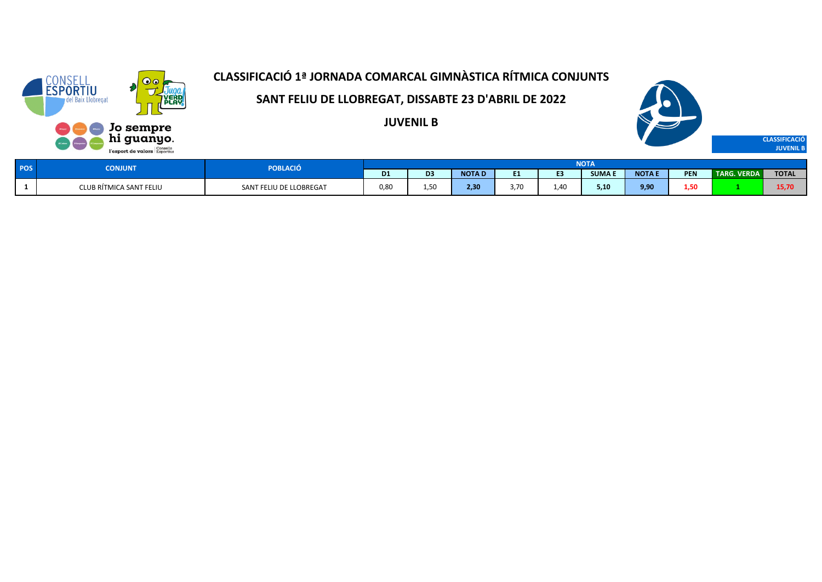

**SANT FELIU DE LLOBREGAT, DISSABTE 23 D'ABRIL DE 2022**

**JUVENIL B**



| <b>CONJUNT</b>          | <b>POBLACIO</b>         |                   |                |              |     |     | NOTA          |             |            |                    |              |
|-------------------------|-------------------------|-------------------|----------------|--------------|-----|-----|---------------|-------------|------------|--------------------|--------------|
|                         |                         | D <sub>1</sub>    | D <sub>3</sub> | <b>NOTAD</b> |     |     | <b>SUMA E</b> | <b>NOTA</b> | <b>PEN</b> | <b>TARG. VERDA</b> | <b>TOTAL</b> |
| CLUB RÍTMICA SANT FELIU | SANT FELIU DE LLOBREGAT | <b>. </b><br>0,80 | . .            | 2,30         | .70 | .40 | 5,10          | 9,90        | L,50       |                    | 15,70        |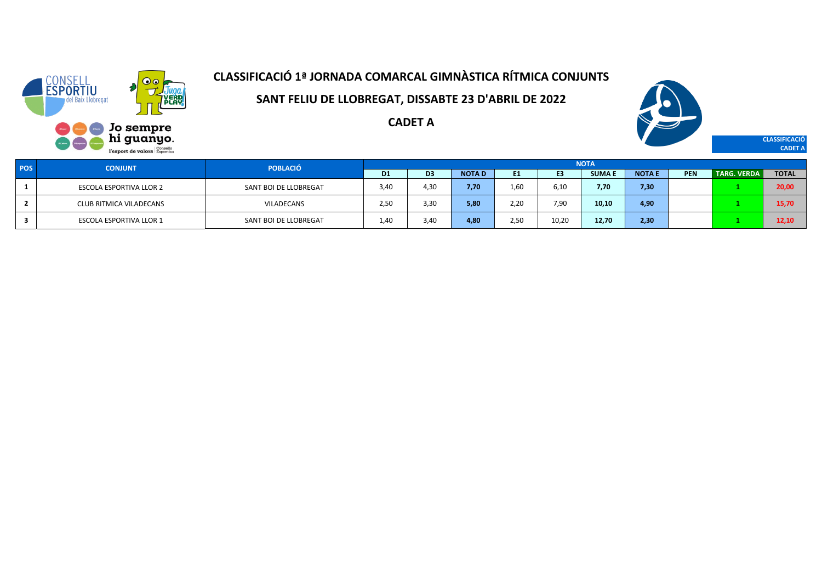

**SANT FELIU DE LLOBREGAT, DISSABTE 23 D'ABRIL DE 2022**

**CADET A**



**CLASSIFICACIÓ CADET A**

| <b>POS</b> | <b>CONJUNT</b>                 | <b>POBLACIÓ</b>       |                |      |              |      |                | <b>NOTA</b>  |               |     |                    |              |
|------------|--------------------------------|-----------------------|----------------|------|--------------|------|----------------|--------------|---------------|-----|--------------------|--------------|
|            |                                |                       | D <sub>1</sub> | D3   | <b>NOTAD</b> | E1.  | E <sub>3</sub> | <b>SUMAE</b> | <b>NOTA E</b> | PEN | <b>TARG. VERDA</b> | <b>TOTAL</b> |
|            | <b>ESCOLA ESPORTIVA LLOR 2</b> | SANT BOI DE LLOBREGAT | 3,40           | 4.30 | 7.70         | 1,60 | 6.10           | 7,70         | 7,30          |     |                    | 20,00        |
|            | CLUB RITMICA VILADECANS        | VILADECANS            | 2,50           | 3,3C | 5,80         | 2,20 | 7,90           | 10,10        | 4,90          |     |                    | 15,70        |
|            | <b>ESCOLA ESPORTIVA LLOR 1</b> | SANT BOI DE LLOBREGAT | 1.4C           | 3.40 | 4.80         | 2,50 | 10,20          | 12,70        | 2,30          |     |                    | 12.10        |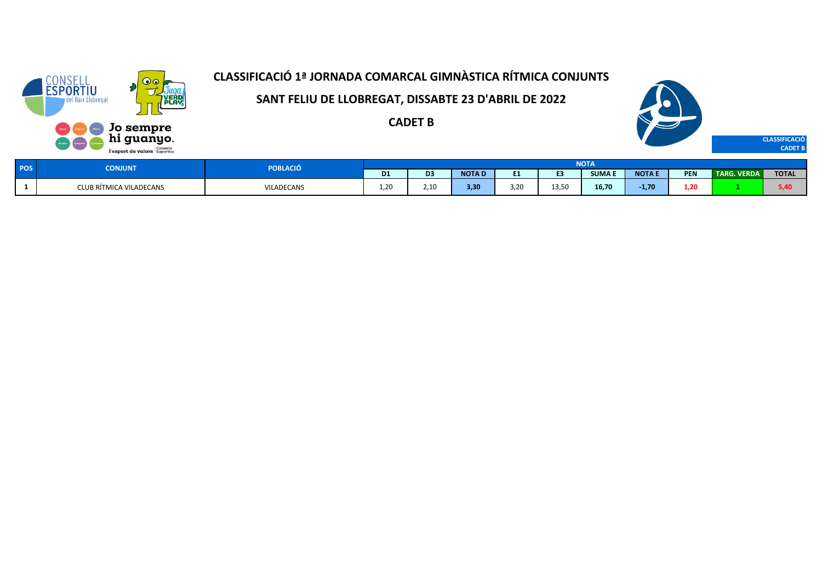

**SANT FELIU DE LLOBREGAT, DISSABTE 23 D'ABRIL DE 2022**

**CADET B**



| <b>POS</b> | <b>ONJUNT</b>           | POBLACIÓ          |     |                        |              |            |       | NOTA         |               |            |                    |              |
|------------|-------------------------|-------------------|-----|------------------------|--------------|------------|-------|--------------|---------------|------------|--------------------|--------------|
|            |                         |                   | D1  | $-$                    | <b>NOTAD</b> | m d<br>. . |       | <b>SUMAE</b> | <b>NOTA E</b> | <b>PEN</b> | <b>TARG. VERDA</b> | <b>TOTAL</b> |
|            | CLUB RÍTMICA VILADECANS | <b>VILADECANS</b> | .20 | $\sim$ 40<br>ب المدينة | 3,30         | 3,20       | 13.50 | 16,70        | $-1,70$       | 1,20       |                    | 5.40<br>--   |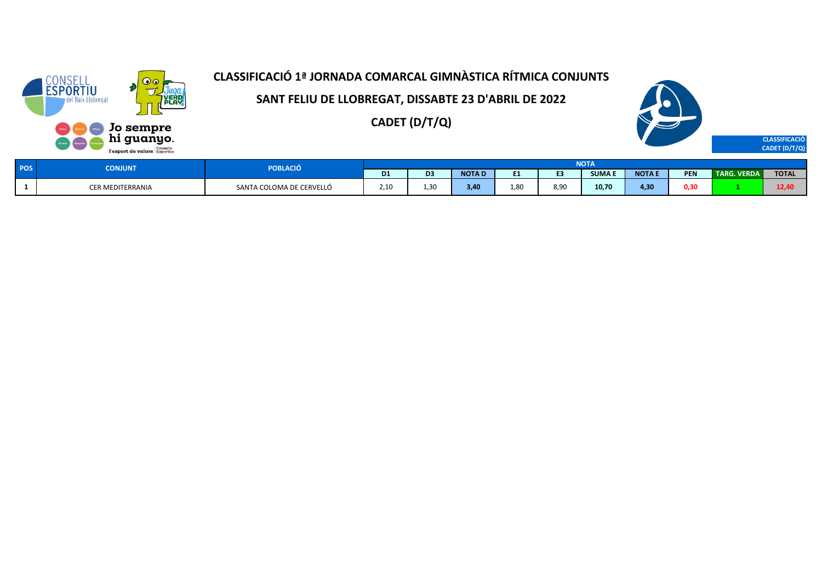

**SANT FELIU DE LLOBREGAT, DISSABTE 23 D'ABRIL DE 2022**

**CADET (D/T/Q)**



| <b>POS</b> | <b>CONJUNT</b>   | <b>POBLACIÓ</b>          |                |                |              |                |      | NUIA        |                  |            |             |              |
|------------|------------------|--------------------------|----------------|----------------|--------------|----------------|------|-------------|------------------|------------|-------------|--------------|
|            |                  |                          | D <sub>1</sub> | D <sub>3</sub> | <b>NOTAD</b> |                |      | <b>SUMA</b> | <b>NOTAE</b>     | <b>PEN</b> | TARG. VERDA | <b>TOTAL</b> |
|            | CER MEDITERRANIA | SANTA COLOMA DE CERVELLÓ | 2.10<br>.      | 1,30           | 3.40         | $\alpha$<br>٥ι | 8,90 | 10,70       | 4.3 <sub>0</sub> | 0,30       |             | 12,40        |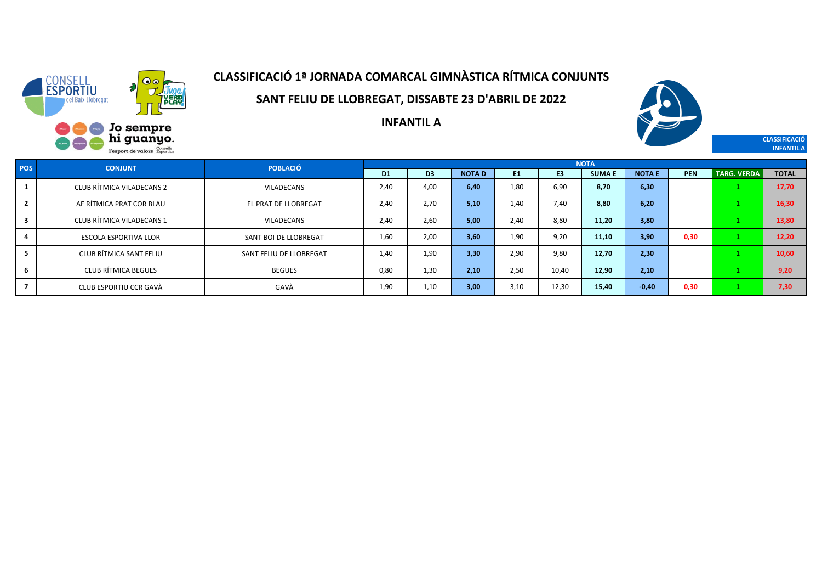

**SANT FELIU DE LLOBREGAT, DISSABTE 23 D'ABRIL DE 2022**



**CLASSIFICACIÓ INFANTIL A**

**INFANTIL A**

| <b>POS</b> | <b>CONJUNT</b>               | <b>POBLACIÓ</b>         |                |                |              |                |                | <b>NOTA</b>  |               |            |                    |              |
|------------|------------------------------|-------------------------|----------------|----------------|--------------|----------------|----------------|--------------|---------------|------------|--------------------|--------------|
|            |                              |                         | D <sub>1</sub> | D <sub>3</sub> | <b>NOTAD</b> | E <sub>1</sub> | E <sub>3</sub> | <b>SUMAE</b> | <b>NOTA E</b> | <b>PEN</b> | <b>TARG. VERDA</b> | <b>TOTAL</b> |
|            | CLUB RÍTMICA VILADECANS 2    | VILADECANS              | 2.40           | 4.00           | 6.40         | 1.80           | 6,90           | 8.70         | 6,30          |            |                    | 17,70        |
|            | AE RÍTMICA PRAT COR BLAU     | EL PRAT DE LLOBREGAT    | 2.40           | 2.70           | 5.10         | 1.40           | 7,40           | 8.80         | 6,20          |            |                    | 16,30        |
| 3          | CLUB RÍTMICA VILADECANS 1    | VILADECANS              | 2.40           | 2.60           | 5.00         | 2.40           | 8.80           | 11.20        | 3,80          |            |                    | 13,80        |
|            | <b>ESCOLA ESPORTIVA LLOR</b> | SANT BOI DE LLOBREGAT   | 1,60           | 2.00           | 3.60         | 1.90           | 9,20           | 11,10        | 3,90          | 0,30       |                    | 12,20        |
|            | CLUB RÍTMICA SANT FELIU      | SANT FELIU DE LLOBREGAT | 1,40           | 1.90           | 3.30         | 2.90           | 9,80           | 12,70        | 2,30          |            |                    | 10,60        |
|            | <b>CLUB RÍTMICA BEGUES</b>   | <b>BEGUES</b>           | 0,80           | 1,30           | 2.10         | 2.50           | 10,40          | 12,90        | 2,10          |            |                    | 9,20         |
|            | CLUB ESPORTIU CCR GAVÀ       | GAVÀ                    | 1,90           | 1,10           | 3,00         | 3,10           | 12,30          | 15,40        | $-0,40$       | 0,30       |                    | 7,30         |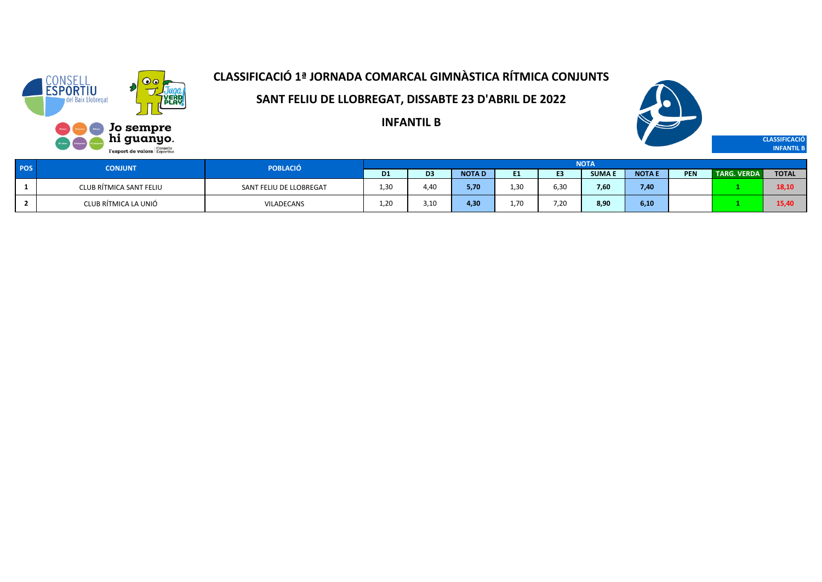

**SANT FELIU DE LLOBREGAT, DISSABTE 23 D'ABRIL DE 2022**

**INFANTIL B**



**CLASSIFICACIÓ INFANTIL B**

| <b>POS</b> | <b>CONJUNT</b>          | <b>POBLACIÓ</b>         |                |                |              |      |      | <b>NOTA</b>   |               |            |                    |              |
|------------|-------------------------|-------------------------|----------------|----------------|--------------|------|------|---------------|---------------|------------|--------------------|--------------|
|            |                         |                         | D <sub>1</sub> | D <sub>3</sub> | <b>NOTAD</b> | . .  |      | <b>SUMA E</b> | <b>NOTA I</b> | <b>PEN</b> | <b>TARG. VERDA</b> | <b>TOTAL</b> |
|            | CLUB RÍTMICA SANT FELIU | SANT FELIU DE LLOBREGAT | 1,30           | 4,40           | 5,70         | 1,3C | 6,30 | 7,60          | 7,40          |            |                    | 18,10        |
|            | CLUB RÍTMICA LA UNIÓ    | <b>VILADECANS</b>       | 1.20           | 3.10           | 4,30         | 1.70 | 7.20 | 8,90          | 6,10          |            |                    | 15.40        |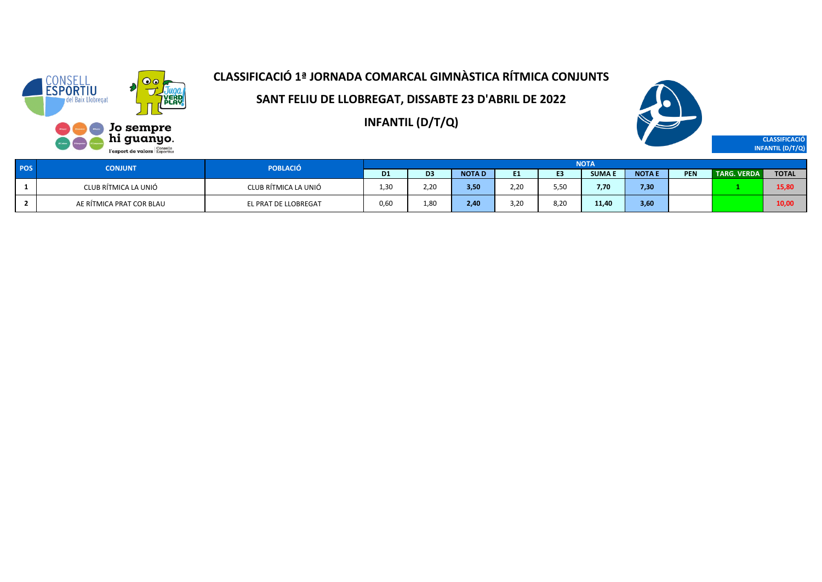

**SANT FELIU DE LLOBREGAT, DISSABTE 23 D'ABRIL DE 2022**

**INFANTIL (D/T/Q)**



**CLASSIFICACIÓ INFANTIL (D/T/Q)**

| POS | <b>CONJUNT</b>           | <b>POBLACIÓ</b>      |           |                |              |      |      | <b>NOTA</b>   |              |            |                    |              |
|-----|--------------------------|----------------------|-----------|----------------|--------------|------|------|---------------|--------------|------------|--------------------|--------------|
|     |                          |                      | <b>D1</b> | D <sub>3</sub> | <b>NOTAD</b> | . .  | E3   | <b>SUMA E</b> | <b>NOTAE</b> | <b>PEN</b> | <b>TARG. VERDA</b> | <b>TOTAL</b> |
|     | CLUB RÍTMICA LA UNIÓ     | CLUB RÍTMICA LA UNIÓ | 1,30      | 2,20           | 3,50         | 2,20 | 5,50 | 7,70          | 7,30         |            |                    | 15,80        |
|     | AE RÍTMICA PRAT COR BLAU | EL PRAT DE LLOBREGAT | 0.60      | 1.80           | 2,40         | 3.20 | 8.20 | 11,40         | 3,60         |            |                    | 10,00        |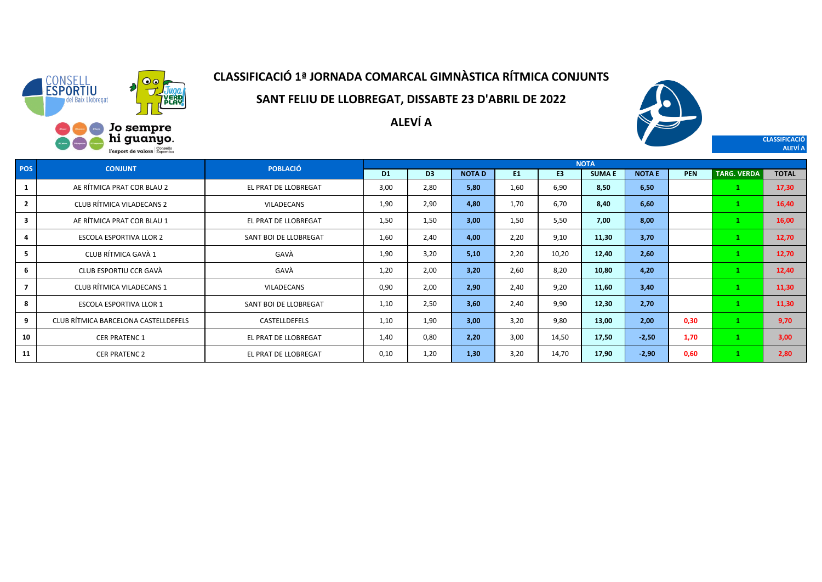

**SANT FELIU DE LLOBREGAT, DISSABTE 23 D'ABRIL DE 2022**

**ALEVÍ A**



**CLASSIFICACIÓ ALEVÍ A**

**D1 D3 NOTA D E1 E3 SUMA E NOTA E PEN TARG. VERDA TOTAL** AE RÍTMICA PRAT COR BLAU 2 EL PRAT DE LLOBREGAT 3,00 2,80 **5,80** 1,60 6,90 **8,50 6,50 1 17,30** CLUB RÍTMICA VILADECANS 2 VILADECANS 1,90 2,90 **4,80** 1,70 6,70 **8,40 6,60 1 16,40** AE RÍTMICA PRAT COR BLAU 1 EL PRAT DE LLOBREGAT 1,50 1,50 **3,00** 1,50 5,50 **7,00 8,00 1 16,00** ESCOLA ESPORTIVA LLOR 2 SANT BOI DE LLOBREGAT 1,60 2,40 **4,00** 2,20 9,10 **11,30 3,70 1 12,70** CLUB RÍTMICA GAVÀ 1 GAVÀ 1,90 3,20 **5,10** 2,20 10,20 **12,40 2,60 1 12,70** CLUB ESPORTIU CCR GAVÀ GAVÀ 1,20 2,00 **3,20** 2,60 8,20 **10,80 4,20 1 12,40** CLUB RÍTMICA VILADECANS 1 VILADECANS 0,90 2,00 **2,90** 2,40 9,20 **11,60 3,40 1 11,30** ESCOLA ESPORTIVA LLOR 1 SANT BOI DE LLOBREGAT 1,10 2,50 **3,60** 2,40 9,90 **12,30 2,70 1 11,30** CLUB RÍTMICA BARCELONA CASTELLDEFELS CASTELLDEFELS 1,10 1,90 **3,00** 3,20 9,80 **13,00 2,00 0,30 1 9,70** CER PRATENC 1 EL PRAT DE LLOBREGAT 1,40 0,80 **2,20** 3,00 14,50 **17,50 -2,50 1,70 1 3,00** CER PRATENC 2 EL PRAT DE LLOBREGAT 0,10 1,20 **1,30** 3,20 14,70 **17,90 -2,90 0,60 1 2,80 POS CONJUNT POBLACIÓ NOTA**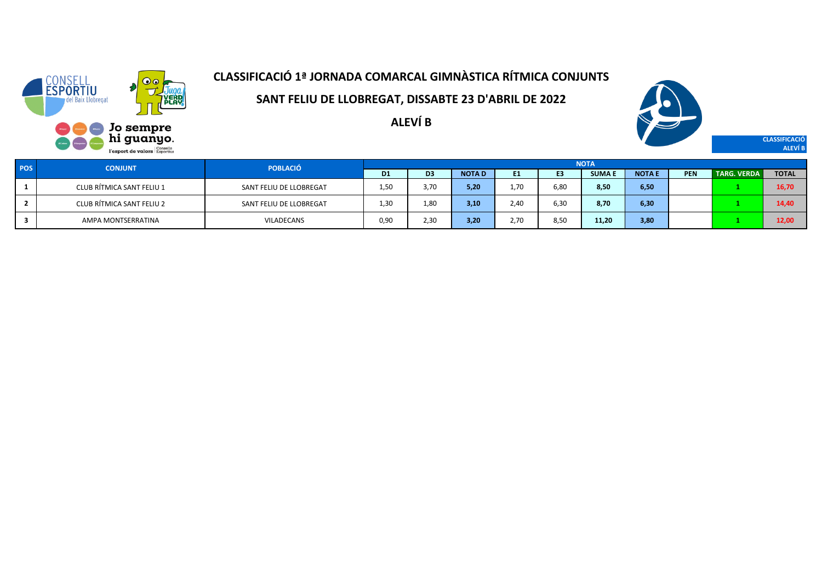

**SANT FELIU DE LLOBREGAT, DISSABTE 23 D'ABRIL DE 2022**

**ALEVÍ B**



**CLASSIFICACIÓ ALEVÍ B**

| POS | <b>CONJUNT</b>            | <b>POBLACIÓ</b>         |                |                |              |                  |      | <b>NOTA</b>  |              |            |                    |              |
|-----|---------------------------|-------------------------|----------------|----------------|--------------|------------------|------|--------------|--------------|------------|--------------------|--------------|
|     |                           |                         | D <sub>1</sub> | D <sub>3</sub> | <b>NOTAD</b> | E1               | E3   | <b>SUMAE</b> | <b>NOTAE</b> | <b>PEN</b> | <b>TARG. VERDA</b> | <b>TOTAL</b> |
|     | CLUB RÍTMICA SANT FELIU 1 | SANT FELIU DE LLOBREGAT | 1,50           | 3.70           | 5,20         | 1.7 <sub>C</sub> | 6,80 | 8,50         | 6,50         |            |                    | 16,70        |
|     | CLUB RÍTMICA SANT FELIU 2 | SANT FELIU DE LLOBREGAT | 1,30           | 1,80           | 3,10         | 2.40             | 6,30 | 8,70         | 6,30         |            |                    | 14,40        |
|     | AMPA MONTSERRATINA        | <b>VILADECANS</b>       | 0,90           | 2,30           | 3,20         | 2.70             | 8,50 | 11,20        | 3,80         |            |                    | 12,00        |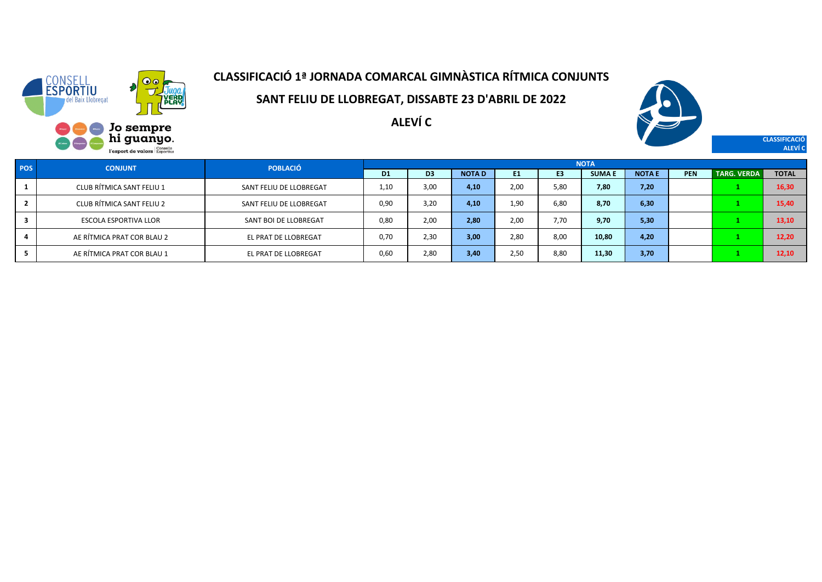

**SANT FELIU DE LLOBREGAT, DISSABTE 23 D'ABRIL DE 2022**

**ALEVÍ C**



**CLASSIFICACIÓ ALEVÍ C**

| <b>POS</b> | <b>CONJUNT</b>               | <b>POBLACIÓ</b>         |      |                |              |      |                | <b>NOTA</b>  |               |            |                    |              |
|------------|------------------------------|-------------------------|------|----------------|--------------|------|----------------|--------------|---------------|------------|--------------------|--------------|
|            |                              |                         | D1   | D <sub>3</sub> | <b>NOTAD</b> | E1   | E <sub>3</sub> | <b>SUMAE</b> | <b>NOTA E</b> | <b>PEN</b> | <b>TARG. VERDA</b> | <b>TOTAL</b> |
|            | CLUB RÍTMICA SANT FELIU 1    | SANT FELIU DE LLOBREGAT | 1,10 | 3,00           | 4,10         | 2,00 | 5,80           | 7,80         | 7,20          |            |                    | 16,30        |
|            | CLUB RÍTMICA SANT FELIU 2    | SANT FELIU DE LLOBREGAT | 0.90 | 3.20           | 4,10         | 1,90 | 6.80           | 8,70         | 6,30          |            |                    | 15,40        |
|            | <b>ESCOLA ESPORTIVA LLOR</b> | SANT BOI DE LLOBREGAT   | 0.80 | 2.00           | 2,80         | 2,00 | 7.70           | 9,70         | 5,30          |            |                    | 13,10        |
|            | AE RÍTMICA PRAT COR BLAU 2   | EL PRAT DE LLOBREGAT    | 0.70 | 2.30           | 3,00         | 2,80 | 8.00           | 10.80        | 4,20          |            |                    | 12,20        |
|            | AE RÍTMICA PRAT COR BLAU 1   | EL PRAT DE LLOBREGAT    | 0.60 | 2,80           | 3,40         | 2,50 | 8,80           | 11,30        | 3,70          |            |                    | 12,10        |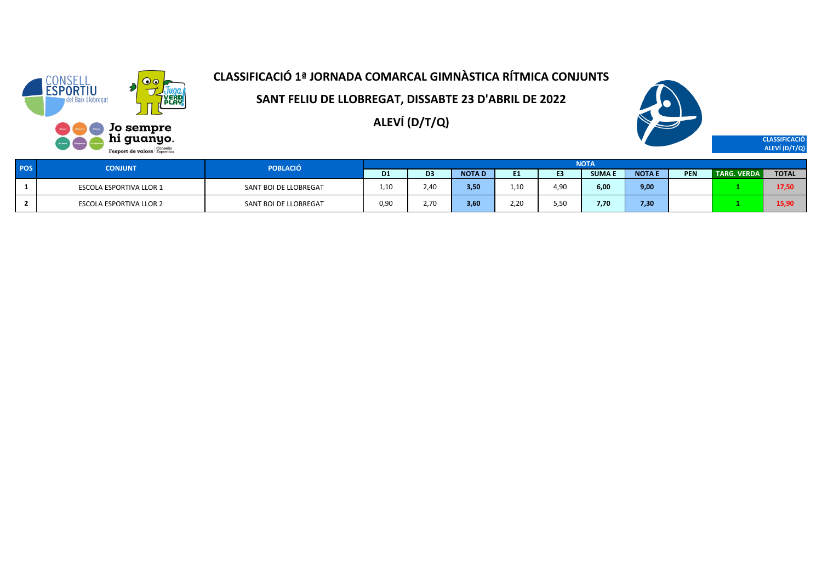

**SANT FELIU DE LLOBREGAT, DISSABTE 23 D'ABRIL DE 2022**

**ALEVÍ (D/T/Q)**



**CLASSIFICACIÓ ALEVÍ (D/T/Q)**

| <b>POS</b> | <b>CONJUNT</b>                 | <b>POBLACIÓ</b>       |                |                |              |                |                | <b>NOTA</b> |              |            |                    |              |
|------------|--------------------------------|-----------------------|----------------|----------------|--------------|----------------|----------------|-------------|--------------|------------|--------------------|--------------|
|            |                                |                       | D <sub>1</sub> | D <sub>3</sub> | <b>NOTAD</b> | E <sub>1</sub> | E <sub>3</sub> | SUMA E      | <b>NOTAE</b> | <b>PEN</b> | <b>TARG. VERDA</b> | <b>TOTAL</b> |
|            | <b>ESCOLA ESPORTIVA LLOR 1</b> | SANT BOI DE LLOBREGAT | 1.10           | 2,40           | 3,50         | 1.10           | 4,90           | 6,00        | 9,00         |            |                    | 17,50        |
|            | <b>ESCOLA ESPORTIVA LLOR 2</b> | SANT BOI DE LLOBREGAT | 0,90           | 2,70           | 3,60         | 2.20           | 5,50           | 7.70        | 7,30         |            |                    | 15,90        |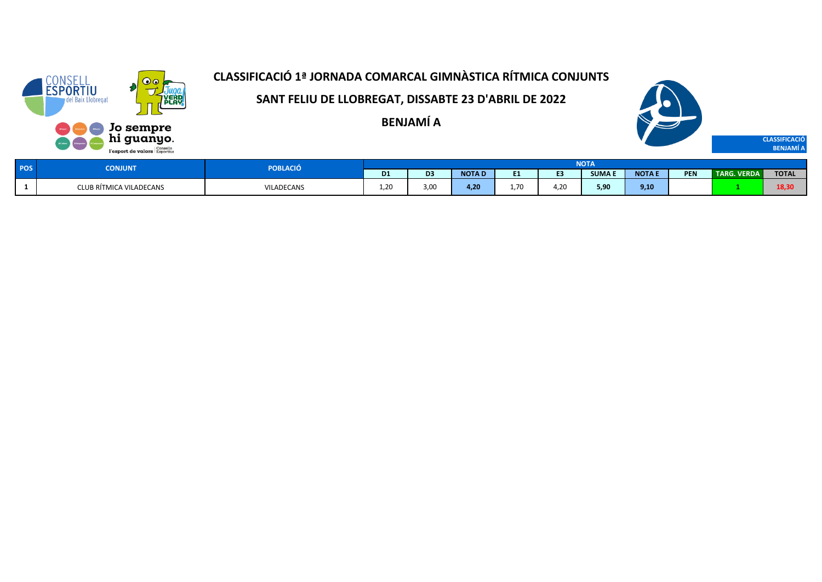

**SANT FELIU DE LLOBREGAT, DISSABTE 23 D'ABRIL DE 2022**

**BENJAMÍ A**



| <b>SOC</b> | <b>CONJUNT</b>          | POBLACIÓ   |                    |                |              |                          |     |             |              |            |                    |                  |
|------------|-------------------------|------------|--------------------|----------------|--------------|--------------------------|-----|-------------|--------------|------------|--------------------|------------------|
|            |                         |            | D <sub>1</sub>     | D <sub>3</sub> | <b>NOTAD</b> | $-1$                     |     | <b>SUMA</b> | <b>NOTAE</b> | <b>PEN</b> | <b>TARG. VERDA</b> | <b>TOTAL</b>     |
|            | CLUB RÍTMICA VILADECANS | VILADECANS | $\sim$<br>$\pm .2$ | 3,00           | 4.20         | $\overline{\phantom{a}}$ | .20 | 5.90        | 9,10         |            |                    | $\sim$<br>LO, JU |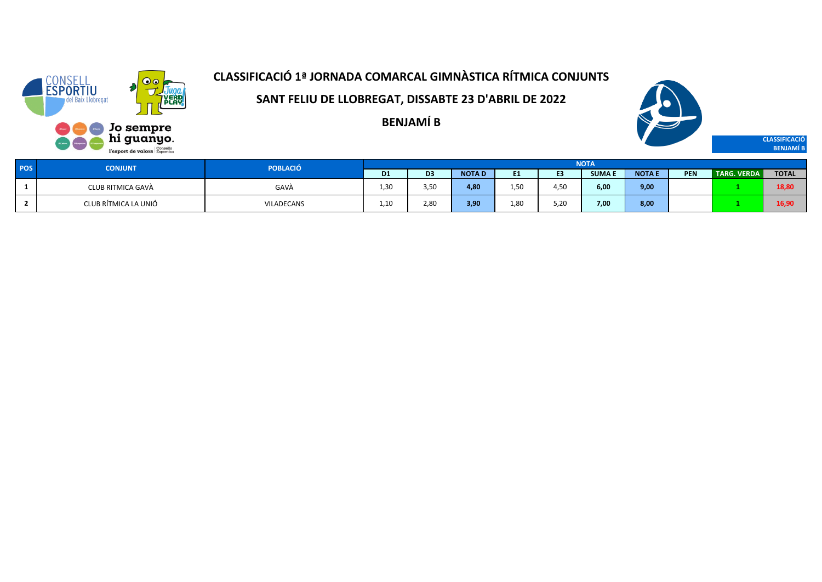

**SANT FELIU DE LLOBREGAT, DISSABTE 23 D'ABRIL DE 2022**

**BENJAMÍ B**



**BENJAMÍ B**

| <b>POS</b> | <b>CONJUNT</b>       | <b>POBLACIÓ</b> | <b>NOTA</b>            |                  |              |      |                |              |               |            |                    |              |  |
|------------|----------------------|-----------------|------------------------|------------------|--------------|------|----------------|--------------|---------------|------------|--------------------|--------------|--|
|            |                      |                 | <b>D1</b>              | D3               | <b>NOTAD</b> | E1.  | E <sub>3</sub> | <b>SUMAE</b> | <b>NOTA E</b> | <b>PEN</b> | <b>TARG. VERDA</b> | <b>TOTAL</b> |  |
|            | CLUB RITMICA GAVÀ    | GAVÀ            | . 30                   | 3.5 <sub>c</sub> | 4,80         | 1,50 | 4,50           | 6,00         | 9,00          |            |                    | 18,80        |  |
|            | CLUB RÍTMICA LA UNIÓ | VILADECANS      | $\overline{a}$<br>⊥.⊥∟ | 2.8C             | 3,90         | 1,80 | 5,20           | 7,00         | 8,00          |            |                    | 16,90        |  |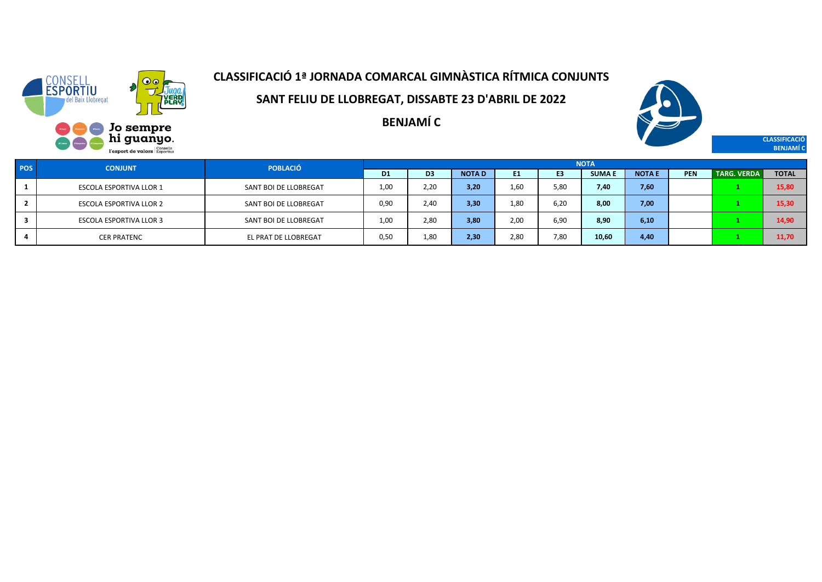

**SANT FELIU DE LLOBREGAT, DISSABTE 23 D'ABRIL DE 2022**

**BENJAMÍ C**



**CLASSIFICACIÓ BENJAMÍ C**

| POS | <b>CONJUNT</b>                 | <b>POBLACIÓ</b>       | <b>NOTA</b>    |                |              |      |                |              |              |     |                    |              |  |
|-----|--------------------------------|-----------------------|----------------|----------------|--------------|------|----------------|--------------|--------------|-----|--------------------|--------------|--|
|     |                                |                       | D <sub>1</sub> | D <sub>3</sub> | <b>NOTAD</b> | E1   | E <sub>3</sub> | <b>SUMAE</b> | <b>NOTAE</b> | PEN | <b>TARG. VERDA</b> | <b>TOTAL</b> |  |
|     | ESCOLA ESPORTIVA LLOR 1        | SANT BOI DE LLOBREGAT | 1.00           | 2,20           | 3,20         | 1.60 | 5.80           | 7,40         | 7,60         |     |                    | 15,80        |  |
|     | <b>ESCOLA ESPORTIVA LLOR 2</b> | SANT BOI DE LLOBREGAT | 0.90           | 2,40           | 3,30         | 1,80 | 6.20           | 8,00         | 7,00         |     |                    | 15,30        |  |
|     | <b>ESCOLA ESPORTIVA LLOR 3</b> | SANT BOI DE LLOBREGAT | 1,00           | 2,80           | 3,80         | 2,00 | 6,90           | 8.90         | 6,10         |     |                    | 14,90        |  |
|     | <b>CER PRATENC</b>             | EL PRAT DE LLOBREGAT  | 0.50           | 1,80           | 2,30         | 2,80 | 7,80           | 10,60        | 4,40         |     |                    | 11.70        |  |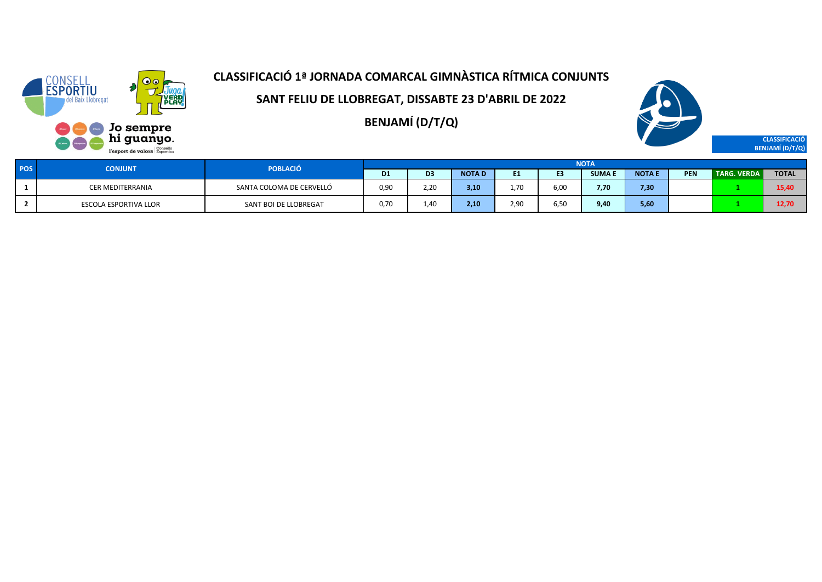

**SANT FELIU DE LLOBREGAT, DISSABTE 23 D'ABRIL DE 2022**

**BENJAMÍ (D/T/Q)**



**CLASSIFICACIÓ**

**BENJAMÍ (D/T/Q)**

| <b>POS</b> |  | <b>CONJUNT</b>               | <b>POBLACIÓ</b>          | <b>NOTA</b> |                  |              |      |                |               |        |     |                    |              |  |  |  |  |
|------------|--|------------------------------|--------------------------|-------------|------------------|--------------|------|----------------|---------------|--------|-----|--------------------|--------------|--|--|--|--|
|            |  |                              |                          | <b>D1</b>   | D <sub>3</sub>   | <b>NOTAD</b> | ш.   | <b>COMPANY</b> | <b>SUMA I</b> | NOTA E | PEN | <b>TARG. VERDA</b> | <b>TOTAL</b> |  |  |  |  |
|            |  | <b>CER MEDITERRANIA</b>      | SANTA COLOMA DE CERVELLÓ | 0,90        | 2.20             | 3,10         | 1.70 | 6,00           | 7.70          | 7,30   |     |                    | 15,4         |  |  |  |  |
|            |  | <b>ESCOLA ESPORTIVA LLOR</b> | SANT BOI DE LLOBREGAT    | 0,70        | 1.4 <sub>C</sub> | 2,10         | 2,90 | 6,50           | 9,40          | 5,60   |     |                    | 12.7         |  |  |  |  |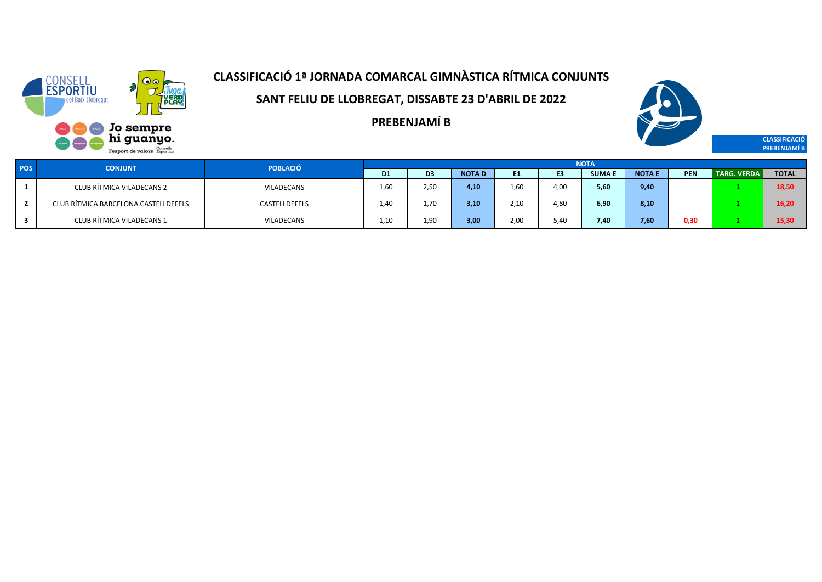

**SANT FELIU DE LLOBREGAT, DISSABTE 23 D'ABRIL DE 2022**

**PREBENJAMÍ B**



**CLASSIFICACIÓ PREBENJAMÍ B**

| <b>POS</b> | <b>CONJUNT</b>                       | <b>POBLACIÓ</b>   | <b>NOTA</b>    |                |              |                |                |               |              |      |                    |              |
|------------|--------------------------------------|-------------------|----------------|----------------|--------------|----------------|----------------|---------------|--------------|------|--------------------|--------------|
|            |                                      |                   | D <sub>1</sub> | D <sub>3</sub> | <b>NOTAD</b> | E <sub>1</sub> | E <sub>3</sub> | <b>SUMA E</b> | <b>NOTAE</b> | PEN  | <b>TARG. VERDA</b> | <b>TOTAL</b> |
|            | CLUB RÍTMICA VILADECANS 2            | <b>VILADECANS</b> | 1.60           | 2.50           | 4,10         | 1.60           | 4.00           | 5,60          | 9,40         |      |                    | 18.50        |
|            | CLUB RÍTMICA BARCELONA CASTELLDEFELS | CASTELLDEFELS     | 1.40           | 1.70           | 3,10         | 2.10           | 4,80           | 6,90          | 8,10         |      |                    | 16,20        |
|            | CLUB RÍTMICA VILADECANS 1            | <b>VILADECANS</b> | 1.10           | 1,90           | 3,00         | 2,00           | 5.40           | 7,40          | 7,60         | 0,30 |                    | 15,30        |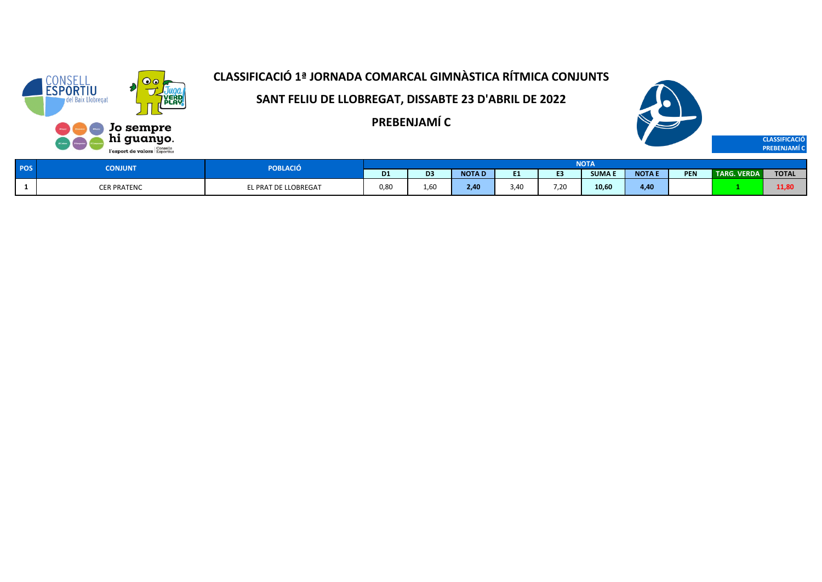

**SANT FELIU DE LLOBREGAT, DISSABTE 23 D'ABRIL DE 2022**

**PREBENJAMÍ C**



| <b>POS</b> | POBLACIÓ<br><b>CONJUNT</b> |                      |                | <b>NOTA</b>   |              |      |              |              |               |     |                    |              |  |
|------------|----------------------------|----------------------|----------------|---------------|--------------|------|--------------|--------------|---------------|-----|--------------------|--------------|--|
|            |                            |                      | D <sub>1</sub> | $\sim$<br>D3. | <b>NOTAD</b> |      | r.           | <b>SUMAE</b> | <b>NOTA I</b> | PEN | <b>TARG. VERDA</b> | <b>TOTAL</b> |  |
|            | <b>CER PRATENC</b>         | EL PRAT DE LLOBREGAT | 0.8C           | 1.6C          | $-40$        | 3.40 | 7.20<br>7,20 | 10,60        | 4,40          |     |                    | 11,80        |  |